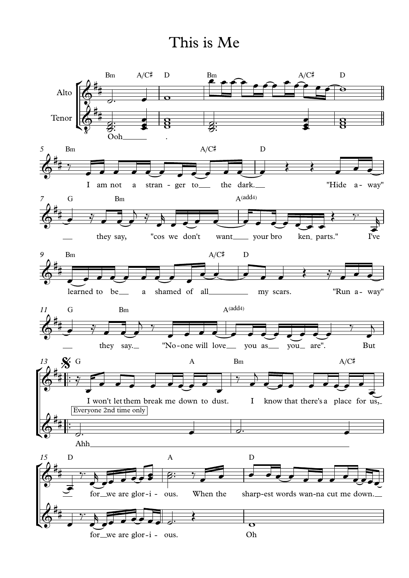## This is Me

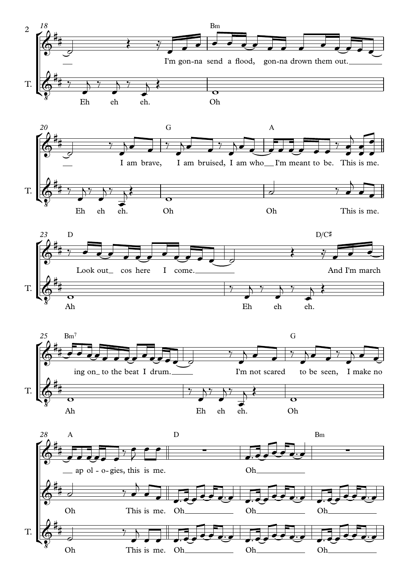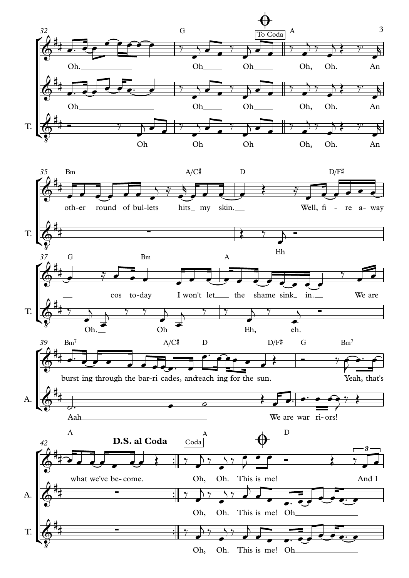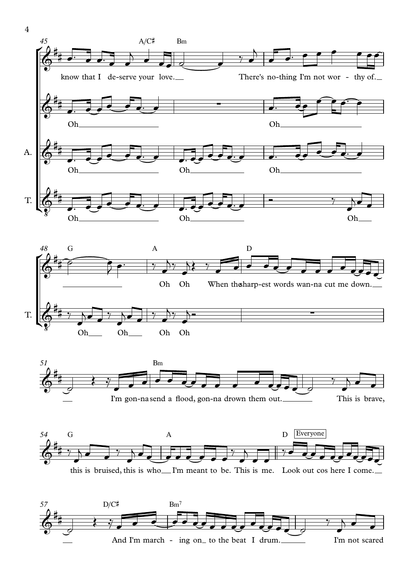